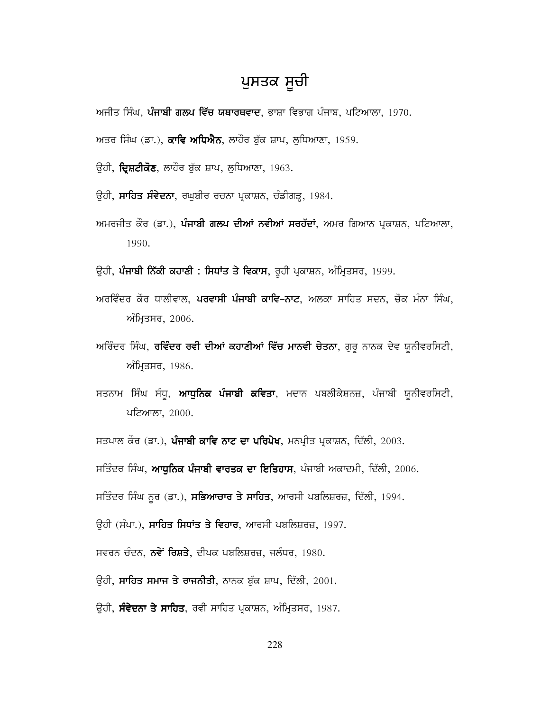# ਪੁਸਤਕ ਸੂਚੀ

ਅਜੀਤ ਸਿੰਘ, ਪੰਜਾਬੀ ਗਲਪ ਵਿੱਚ ਯਥਾਰਥਵਾਦ, ਭਾਸ਼ਾ ਵਿਭਾਗ ਪੰਜਾਬ, ਪਟਿਆਲਾ, 1970.

ਅਤਰ ਸਿੰਘ (ਡਾ.), **ਕਾਵਿ ਅਧਿਐਨ**, ਲਾਹੌਰ ਬੁੱਕ ਸ਼ਾਪ, ਲੁਧਿਆਣਾ, 1959.

ਉਹੀ, **ਦ੍ਰਿਸ਼ਟੀਕੋਣ**, ਲਾਹੌਰ ਬੁੱਕ ਸ਼ਾਪ, ਲੁਧਿਆਣਾ, 1963.

ਉਹੀ, **ਸਾਹਿਤ ਸੰਵੇਦਨਾ**, ਰਘੁਬੀਰ ਰਚਨਾ ਪ੍ਰਕਾਸ਼ਨ, ਚੰਡੀਗੜ੍ਹ, 1984.

ਅਮਰਜੀਤ ਕੌਰ (ਡਾ.), **ਪੰਜਾਬੀ ਗਲਪ ਦੀਆਂ ਨਵੀਆਂ ਸਰਹੱਦਾਂ**, ਅਮਰ ਗਿਆਨ ਪ੍ਰਕਾਸ਼ਨ, ਪਟਿਆਲਾ, 1990.

ਉਹੀ, **ਪੰਜਾਬੀ ਨਿੱਕੀ ਕਹਾਣੀ : ਸਿਧਾਂਤ ਤੇ ਵਿਕਾਸ**, ਰੂਹੀ ਪ੍ਰਕਾਸ਼ਨ, ਅੰਮ੍ਰਿਤਸਰ, 1999.

- ਅਰਵਿੰਦਰ ਕੌਰ ਧਾਲੀਵਾਲ, ਪਰਵਾਸੀ ਪੰਜਾਬੀ ਕਾਵਿ–ਨਾਟ, ਅਲਕਾ ਸਾਹਿਤ ਸਦਨ, ਚੌਕ ਮੰਨਾ ਸਿੰਘ, ਅੰਮ੍ਰਿਤਸਰ, 2006.
- ਅਰਿੰਦਰ ਸਿੰਘ, **ਰਵਿੰਦਰ ਰਵੀ ਦੀਆਂ ਕਹਾਣੀਆਂ ਵਿੱਚ ਮਾਨਵੀ ਚੇਤਨਾ**, ਗੁਰੁ ਨਾਨਕ ਦੇਵ ਯੁਨੀਵਰਸਿਟੀ, ਅੰਮ੍ਰਿਤਸਰ, 1986.
- ਸਤਨਾਮ ਸਿੰਘ ਸੰਧੁ, ਆਧੁਨਿਕ ਪੰਜਾਬੀ ਕਵਿਤਾ, ਮਦਾਨ ਪਬਲੀਕੇਸ਼ਨਜ਼, ਪੰਜਾਬੀ ਯੂਨੀਵਰਸਿਟੀ, ਪਟਿਆਲਾ, 2000.

ਸਤਪਾਲ ਕੌਰ (ਡਾ.), **ਪੰਜਾਬੀ ਕਾਵਿ ਨਾਟ ਦਾ ਪਰਿਪੇਖ**, ਮਨਪ੍ਰੀਤ ਪ੍ਰਕਾਸ਼ਨ, ਦਿੱਲੀ, 2003.

ਸਤਿੰਦਰ ਸਿੰਘ, **ਆਧੁਨਿਕ ਪੰਜਾਬੀ ਵਾਰਤਕ ਦਾ ਇਤਿਹਾਸ**, ਪੰਜਾਬੀ ਅਕਾਦਮੀ, ਦਿੱਲੀ, 2006.

ਸਤਿੰਦਰ ਸਿੰਘ ਨੂਰ (ਡਾ.), **ਸਭਿਆਚਾਰ ਤੇ ਸਾਹਿਤ**, ਆਰਸੀ ਪਬਲਿਸ਼ਰਜ਼, ਦਿੱਲੀ, 1994.

ਉਹੀ (ਸੰਪਾ.), **ਸਾਹਿਤ ਸਿਧਾਂਤ ਤੇ ਵਿਹਾਰ**, ਆਰਸੀ ਪਬਲਿਸ਼ਰਜ਼, 1997.

ਸਵਰਨ ਚੰਦਨ, **ਨਵੇਂ ਰਿਸ਼ਤੇ**, ਦੀਪਕ ਪਬਲਿਸ਼ਰਜ਼, ਜਲੰਧਰ, 1980.

- ਉਹੀ, ਸਾਹਿਤ ਸਮਾਜ ਤੇ ਰਾਜਨੀਤੀ, ਨਾਨਕ ਬੁੱਕ ਸ਼ਾਪ, ਦਿੱਲੀ, 2001.
- ਓਹੀ, **ਸੰਵੇਦਨਾ ਤੇ ਸਾਹਿਤ**, ਰਵੀ ਸਾਹਿਤ ਪ੍ਰਕਾਸ਼ਨ, ਅੰਮ੍ਰਿਤਸਰ, 1987.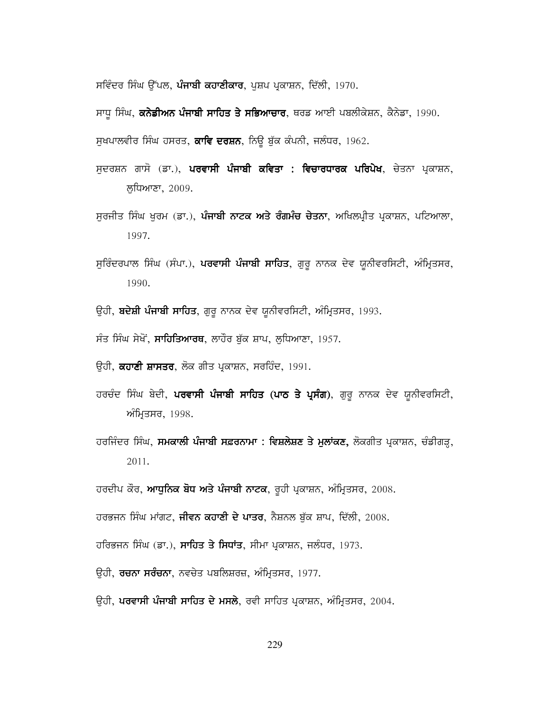ਸਵਿੰਦਰ ਸਿੰਘ ਉੱਪਲ, **ਪੰਜਾਬੀ ਕਹਾਣੀਕਾਰ**, ਪੁਸ਼ਪ ਪ੍ਰਕਾਸ਼ਨ, ਦਿੱਲੀ, 1970.

ਸਾਧੂ ਸਿੰਘ, **ਕਨੇਡੀਅਨ ਪੰਜਾਬੀ ਸਾਹਿਤ ਤੇ ਸਭਿਆਚਾਰ**, ਥਰਡ ਆਈ ਪਬਲੀਕੇਸ਼ਨ, ਕੈਨੇਡਾ, 1990.

ਸੁਖਪਾਲਵੀਰ ਸਿੰਘ ਹਸਰਤ, **ਕਾਵਿ ਦਰਸ਼ਨ**, ਨਿਊ ਬੁੱਕ ਕੰਪਨੀ, ਜਲੰਧਰ, 1962.

- ਸਦਰਸ਼ਨ ਗਾਸੋ (ਡਾ.), **ਪਰਵਾਸੀ ਪੰਜਾਬੀ ਕਵਿਤਾ : ਵਿਚਾਰਧਾਰਕ ਪਰਿਪੇਖ**, ਚੇਤਨਾ ਪ੍ਰਕਾਸ਼ਨ, ਲੁਧਿਆਣਾ, 2009.
- ਸੁਰਜੀਤ ਸਿੰਘ ਖੁਰਮ (ਡਾ.), **ਪੰਜਾਬੀ ਨਾਟਕ ਅਤੇ ਰੰਗਮੰਚ ਚੇਤਨਾ**, ਅਖਿਲਪ੍ਰੀਤ ਪ੍ਰਕਾਸ਼ਨ, ਪਟਿਆਲਾ, 1997.
- ਸੁਰਿੰਦਰਪਾਲ ਸਿੰਘ (ਸੰਪਾ.), ਪਰਵਾਸੀ ਪੰਜਾਬੀ ਸਾਹਿਤ, ਗੁਰੂ ਨਾਨਕ ਦੇਵ ਯੂਨੀਵਰਸਿਟੀ, ਅੰਮ੍ਰਿਤਸਰ, 1990.
- ਉਹੀ, **ਬਦੇਸ਼ੀ ਪੰਜਾਬੀ ਸਾਹਿਤ**, ਗੁਰੂ ਨਾਨਕ ਦੇਵ ਯੂਨੀਵਰਸਿਟੀ, ਅੰਮ੍ਰਿਤਸਰ, 1993.
- ਸੰਤ ਸਿੰਘ ਸੇਖੋਂ, ਸਾਹਿਤਿਆਰਥ, ਲਾਹੌਰ ਬੁੱਕ ਸ਼ਾਪ, ਲੁਧਿਆਣਾ, 1957.
- ਓਹੀ, **ਕਹਾਣੀ ਸ਼ਾਸਤਰ**, ਲੋਕ ਗੀਤ ਪ੍ਰਕਾਸ਼ਨ, ਸਰਹਿੰਦ, 1991.
- ਹਰਚੰਦ ਸਿੰਘ ਬੇਦੀ, ਪਰਵਾਸੀ ਪੰਜਾਬੀ ਸਾਹਿਤ (ਪਾਠ ਤੇ ਪ੍ਰਸੰਗ), ਗੁਰੂ ਨਾਨਕ ਦੇਵ ਯੂਨੀਵਰਸਿਟੀ, ਅੰਮ੍ਰਿਤਸਰ, 1998.
- ਹਰਜਿੰਦਰ ਸਿੰਘ, **ਸਮਕਾਲੀ ਪੰਜਾਬੀ ਸਫ਼ਰਨਾਮਾ : ਵਿਸ਼ਲੇਸ਼ਣ ਤੇ ਮੁਲਾਂਕਣ,** ਲੋਕਗੀਤ ਪ੍ਰਕਾਸ਼ਨ, ਚੰਡੀਗੜ੍ਹ, 2011.
- ਹਰਦੀਪ ਕੌਰ, **ਆਧੁਨਿਕ ਬੋਧ ਅਤੇ ਪੰਜਾਬੀ ਨਾਟਕ**, ਰੂਹੀ ਪ੍ਰਕਾਸ਼ਨ, ਅੰਮ੍ਰਿਤਸਰ, 2008.

ਹਰਭਜਨ ਸਿੰਘ ਮਾਂਗਟ, **ਜੀਵਨ ਕਹਾਣੀ ਦੇ ਪਾਤਰ**, ਨੈਸ਼ਨਲ ਬੁੱਕ ਸ਼ਾਪ, ਦਿੱਲੀ, 2008.

- ਹਰਿਭਜਨ ਸਿੰਘ (ਡਾ.), **ਸਾਹਿਤ ਤੇ ਸਿਧਾਂਤ**, ਸੀਮਾ ਪ੍ਰਕਾਸ਼ਨ, ਜਲੰਧਰ, 1973.
- ਉਹੀ, **ਰਚਨਾ ਸਰੰਚਨਾ**, ਨਵਚੇਤ ਪਬਲਿਸ਼ਰਜ਼, ਅੰਮ੍ਰਿਤਸਰ, 1977.
- ਉਹੀ, **ਪਰਵਾਸੀ ਪੰਜਾਬੀ ਸਾਹਿਤ ਦੇ ਮਸਲੇ**, ਰਵੀ ਸਾਹਿਤ ਪ੍ਰਕਾਸ਼ਨ, ਅੰਮ੍ਰਿਤਸਰ, 2004.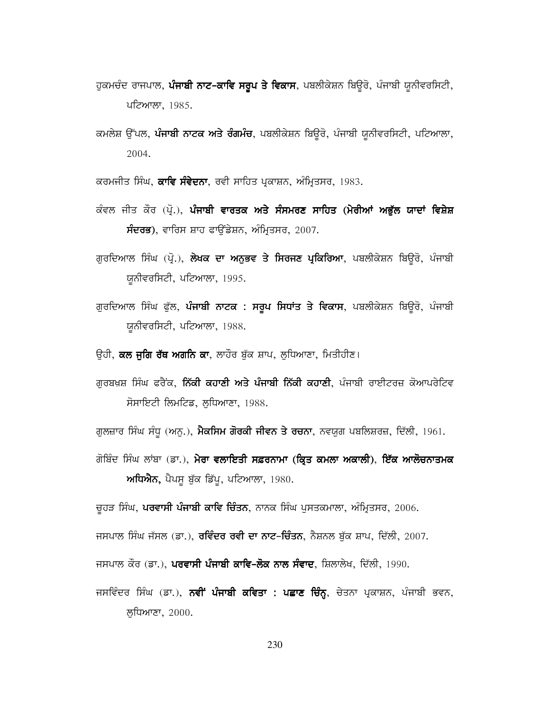- ਹੁਕਮਚੰਦ ਰਾਜਪਾਲ, **ਪੰਜਾਬੀ ਨਾਟ-ਕਾਵਿ ਸਰੂਪ ਤੇ ਵਿਕਾਸ**, ਪਬਲੀਕੇਸ਼ਨ ਬਿਉਰੋ, ਪੰਜਾਬੀ ਯੂਨੀਵਰਸਿਟੀ, ਪਟਿਆਲਾ, 1985.
- ਕਮਲੇਸ਼ ਉੱਪਲ, **ਪੰਜਾਬੀ ਨਾਟਕ ਅਤੇ ਰੰਗਮੰਚ**, ਪਬਲੀਕੇਸ਼ਨ ਬਿਉਰੋ, ਪੰਜਾਬੀ ਯੂਨੀਵਰਸਿਟੀ, ਪਟਿਆਲਾ, 2004.

ਕਰਮਜੀਤ ਸਿੰਘ, **ਕਾਵਿ ਸੰਵੇਦਨਾ**, ਰਵੀ ਸਾਹਿਤ ਪ੍ਰਕਾਸ਼ਨ, ਅੰਮ੍ਰਿਤਸਰ, 1983.

- ਕੰਵਲ ਜੀਤ ਕੌਰ (ਪ੍ਰੋ.), ਪੰਜਾਬੀ ਵਾਰਤਕ ਅਤੇ ਸੰਸਮਰਣ ਸਾਹਿਤ (ਮੇਰੀਆਂ ਅਭੁੱਲ ਯਾਦਾਂ ਵਿਸ਼ੇਸ਼ **ਸੰਦਰਭ**), ਵਾਰਿਸ ਸ਼ਾਹ ਫਾਉਂਡੇਸ਼ਨ, ਅੰਮ੍ਰਿਤਸਰ, 2007.
- ਗੁਰਦਿਆਲ ਸਿੰਘ (ਪ੍ਰੋ.), ਲੇਖਕ ਦਾ ਅਨੁਭਵ ਤੇ ਸਿਰਜਣ ਪ੍ਰਕਿਰਿਆ, ਪਬਲੀਕੇਸ਼ਨ ਬਿਉਰੋ, ਪੰਜਾਬੀ ਯੂਨੀਵਰਸਿਟੀ, ਪਟਿਆਲਾ, 1995.
- ਗੁਰਦਿਆਲ ਸਿੰਘ ਫੁੱਲ, **ਪੰਜਾਬੀ ਨਾਟਕ : ਸਰੁਪ ਸਿਧਾਂਤ ਤੇ ਵਿਕਾਸ**, ਪਬਲੀਕੇਸ਼ਨ ਬਿਊਰੋ, ਪੰਜਾਬੀ ਯੂਨੀਵਰਸਿਟੀ, ਪਟਿਆਲਾ, 1988.
- ਉਹੀ, **ਕਲ ਜੁਗਿ ਰੱਥ ਅਗਨਿ ਕਾ**, ਲਾਹੌਰ ਬੁੱਕ ਸ਼ਾਪ, ਲੁਧਿਆਣਾ, ਮਿਤੀਹੀਣ।
- ਗੁਰਬਖ਼ਸ਼ ਸਿੰਘ ਫਰੈਂਕ, **ਨਿੱਕੀ ਕਹਾਣੀ ਅਤੇ ਪੰਜਾਬੀ ਨਿੱਕੀ ਕਹਾਣੀ**, ਪੰਜਾਬੀ ਰਾਈਟਰਜ਼ ਕੋਆਪਰੇਟਿਵ ਸੋਸਾਇਟੀ ਲਿਮਟਿਡ, ਲੁਧਿਆਣਾ, 1988.
- ਗੁਲਜ਼ਾਰ ਸਿੰਘ ਸੰਧੂ (ਅਨੂ.), **ਮੈਕਸਿਮ ਗੋਰਕੀ ਜੀਵਨ ਤੇ ਰਚਨਾ**, ਨਵਯੁਗ ਪਬਲਿਸ਼ਰਜ਼, ਦਿੱਲੀ, 1961.
- ਗੋਬਿੰਦ ਸਿੰਘ ਲਾਂਬਾ (ਡਾ.), **ਮੇਰਾ ਵਲਾਇਤੀ ਸਫ਼ਰਨਾਮਾ (ਕ੍ਰਿਤ ਕਮਲਾ ਅਕਾਲੀ), ਇੱਕ ਆਲੋਚਨਾਤਮਕ** ਅਧਿਐਨ, ਪੈਪਸੂ ਬੁੱਕ ਡਿੱਪੂ, ਪਟਿਆਲਾ, 1980.

ਚੁਹੜ ਸਿੰਘ, ਪਰਵਾਸੀ ਪੰਜਾਬੀ ਕਾਵਿ ਚਿੰਤਨ, ਨਾਨਕ ਸਿੰਘ ਪੁਸਤਕਮਾਲਾ, ਅੰਮ੍ਰਿਤਸਰ, 2006.

ਜਸਪਾਲ ਸਿੰਘ ਜੱਸਲ (ਡਾ.), **ਰਵਿੰਦਰ ਰਵੀ ਦਾ ਨਾਟ-ਚਿੰਤਨ**, ਨੈਸ਼ਨਲ ਬੁੱਕ ਸ਼ਾਪ, ਦਿੱਲੀ, 2007.

ਜਸਪਾਲ ਕੌਰ (ਡਾ.), ਪਰਵਾਸੀ ਪੰਜਾਬੀ ਕਾਵਿ-ਲੋਕ ਨਾਲ ਸੰਵਾਦ, ਸ਼ਿਲਾਲੇਖ, ਦਿੱਲੀ, 1990.

ਜਸਵਿੰਦਰ ਸਿੰਘ (ਡਾ.), **ਨਵੀਂ ਪੰਜਾਬੀ ਕਵਿਤਾ : ਪਛਾਣ ਚਿੰਨ੍ਹ**, ਚੇਤਨਾ ਪ੍ਰਕਾਸ਼ਨ, ਪੰਜਾਬੀ ਭਵਨ, ਲਧਿਆਣਾ, 2000.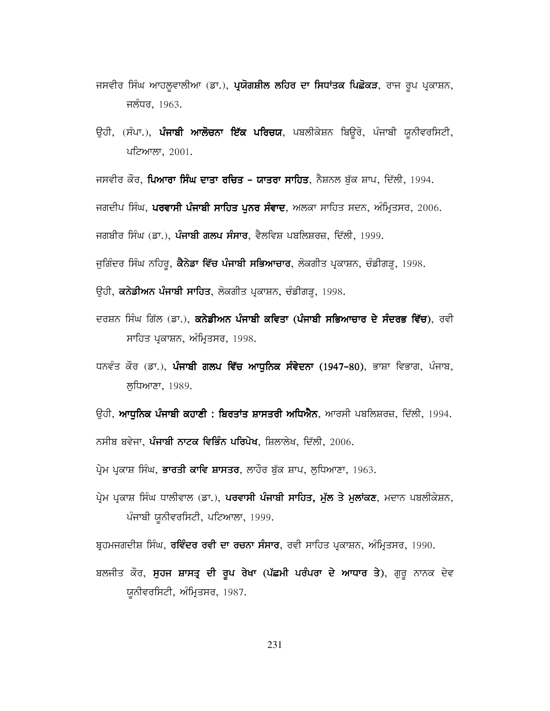- ਜਸਵੀਰ ਸਿੰਘ ਆਹਲੁਵਾਲੀਆ (ਡਾ.), **ਪ੍ਰਯੋਗਸ਼ੀਲ ਲਹਿਰ ਦਾ ਸਿਧਾਂਤਕ ਪਿਛੋਕੜ**, ਰਾਜ ਰੂਪ ਪ੍ਰਕਾਸ਼ਨ, ਜਲੰਧਰ, 1963.
- ਉਹੀ, (ਸੰਪਾ.), ਪੰਜਾਬੀ ਆਲੋਚਨਾ ਇੱਕ ਪਰਿਚਯ, ਪਬਲੀਕੇਸ਼ਨ ਬਿਉਰੋ, ਪੰਜਾਬੀ ਯੂਨੀਵਰਸਿਟੀ, ਪਟਿਆਲਾ, 2001.

ਜਸਵੀਰ ਕੌਰ, **ਪਿਆਰਾ ਸਿੰਘ ਦਾਤਾ ਰਚਿਤ – ਯਾਤਰਾ ਸਾਹਿਤ**, ਨੈਸ਼ਨਲ ਬੱਕ ਸ਼ਾਪ, ਦਿੱਲੀ, 1994.

ਜਗਦੀਪ ਸਿੰਘ, **ਪਰਵਾਸੀ ਪੰਜਾਬੀ ਸਾਹਿਤ ਪਨਰ ਸੰਵਾਦ**, ਅਲਕਾ ਸਾਹਿਤ ਸਦਨ, ਅੰਮ੍ਰਿਤਸਰ, 2006.

ਜਗਬੀਰ ਸਿੰਘ (ਡਾ.), **ਪੰਜਾਬੀ ਗਲਪ ਸੰਸਾਰ**, ਵੈਲਵਿਸ਼ ਪਬਲਿਸ਼ਰਜ਼, ਦਿੱਲੀ, 1999.

ਜੁਗਿੰਦਰ ਸਿੰਘ ਨਹਿਰੂ, **ਕੈਨੇਡਾ ਵਿੱਚ ਪੰਜਾਬੀ ਸਭਿਆਚਾਰ**, ਲੋਕਗੀਤ ਪ੍ਰਕਾਸ਼ਨ, ਚੰਡੀਗੜ੍ਹ, 1998.

- ਉਹੀ, **ਕਨੇਡੀਅਨ ਪੰਜਾਬੀ ਸਾਹਿਤ**, ਲੋਕਗੀਤ ਪ੍ਰਕਾਸ਼ਨ, ਚੰਡੀਗੜ੍ਹ, 1998.
- ਦਰਸ਼ਨ ਸਿੰਘ ਗਿੱਲ (ਡਾ.), ਕਨੇਡੀਅਨ ਪੰਜਾਬੀ ਕਵਿਤਾ (ਪੰਜਾਬੀ ਸਭਿਆਚਾਰ ਦੇ ਸੰਦਰਭ ਵਿੱਚ), ਰਵੀ ਸਾਹਿਤ ਪ੍ਰਕਾਸ਼ਨ, ਅੰਮ੍ਰਿਤਸਰ, 1998.
- ਧਨਵੰਤ ਕੌਰ (ਡਾ.), **ਪੰਜਾਬੀ ਗਲਪ ਵਿੱਚ ਆਧਨਿਕ ਸੰਵੇਦਨਾ** (1947–80), ਭਾਸ਼ਾ ਵਿਭਾਗ, ਪੰਜਾਬ, ਲੁਧਿਆਣਾ, 1989.
- ਉਹੀ, **ਆਧੁਨਿਕ ਪੰਜਾਬੀ ਕਹਾਣੀ : ਬਿਰਤਾਂਤ ਸ਼ਾਸਤਰੀ ਅਧਿਐਨ**, ਆਰਸੀ ਪਬਲਿਸ਼ਰਜ਼, ਦਿੱਲੀ, 1994.

ਨਸੀਬ ਬਵੇਜਾ, **ਪੰਜਾਬੀ ਨਾਟਕ ਵਿਭਿੰਨ ਪਰਿਪੇਖ**, ਸ਼ਿਲਾਲੇਖ, ਦਿੱਲੀ, 2006.

- ਪ੍ਰੇਮ ਪ੍ਰਕਾਸ਼ ਸਿੰਘ, **ਭਾਰਤੀ ਕਾਵਿ ਸ਼ਾਸਤਰ**, ਲਾਹੌਰ ਬੁੱਕ ਸ਼ਾਪ, ਲੁਧਿਆਣਾ, 1963.
- ਪ੍ਰੇਮ ਪ੍ਰਕਾਸ਼ ਸਿੰਘ ਧਾਲੀਵਾਲ (ਡਾ.), ਪਰਵਾਸੀ ਪੰਜਾਬੀ ਸਾਹਿਤ, ਮੁੱਲ ਤੇ ਮੁਲਾਂਕਣ, ਮਦਾਨ ਪਬਲੀਕੇਸ਼ਨ, ਪੰਜਾਬੀ ਯੂਨੀਵਰਸਿਟੀ, ਪਟਿਆਲਾ, 1999.

ਬ੍ਰਹਮਜਗਦੀਸ਼ ਸਿੰਘ, **ਰਵਿੰਦਰ ਰਵੀ ਦਾ ਰਚਨਾ ਸੰਸਾਰ**, ਰਵੀ ਸਾਹਿਤ ਪ੍ਰਕਾਸ਼ਨ, ਅੰਮ੍ਰਿਤਸਰ, 1990.

ਬਲਜੀਤ ਕੌਰ, **ਸੁਹਜ ਸ਼ਾਸਤ੍ਰ ਦੀ ਰੁਪ ਰੇਖਾ (ਪੱਛਮੀ ਪਰੰਪਰਾ ਦੇ ਆਧਾਰ ਤੇ**), ਗੁਰੂ ਨਾਨਕ ਦੇਵ ਯੂਨੀਵਰਸਿਟੀ, ਅੰਮ੍ਰਿਤਸਰ, 1987.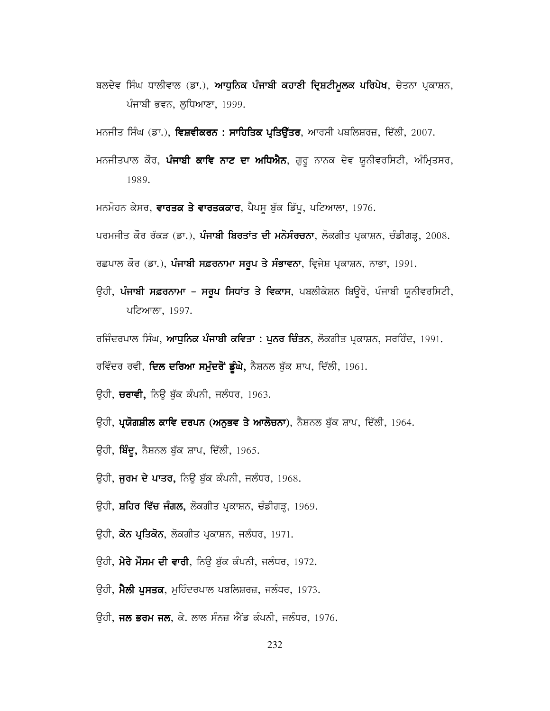ਬਲਦੇਵ ਸਿੰਘ ਧਾਲੀਵਾਲ (ਡਾ.), **ਆਧੁਨਿਕ ਪੰਜਾਬੀ ਕਹਾਣੀ ਦ੍ਰਿਸ਼ਟੀਮੁਲਕ ਪਰਿਪੇਖ**, ਚੇਤਨਾ ਪ੍ਰਕਾਸ਼ਨ, ਪੰਜਾਬੀ ਭਵਨ, ਲਧਿਆਣਾ, 1999.

ਮਨਜੀਤ ਸਿੰਘ (ਡਾ.), **ਵਿਸ਼ਵੀਕਰਨ : ਸਾਹਿਤਿਕ ਪ੍ਰਤਿਉੱਤਰ**, ਆਰਸੀ ਪਬਲਿਸ਼ਰਜ਼, ਦਿੱਲੀ, 2007.

ਮਨਜੀਤਪਾਲ ਕੌਰ, **ਪੰਜਾਬੀ ਕਾਵਿ ਨਾਟ ਦਾ ਅਧਿਐਨ**, ਗੁਰੂ ਨਾਨਕ ਦੇਵ ਯੂਨੀਵਰਸਿਟੀ, ਅੰਮ੍ਰਿਤਸਰ, 1989.

ਮਨਮੋਹਨ ਕੇਸਰ, **ਵਾਰਤਕ ਤੇ ਵਾਰਤਕਕਾਰ**, ਪੈਪਸੂ ਬੁੱਕ ਡਿੱਪੂ, ਪਟਿਆਲਾ, 1976.

ਪਰਮਜੀਤ ਕੌਰ ਰੱਕੜ (ਡਾ.), ਪੰਜਾਬੀ ਬਿਰਤਾਂਤ ਦੀ ਮਨੋਸੰਰਚਨਾ, ਲੋਕਗੀਤ ਪ੍ਰਕਾਸ਼ਨ, ਚੰਡੀਗੜ੍ਹ, 2008.

ਰਛਪਾਲ ਕੌਰ (ਡਾ.), ਪੰਜਾਬੀ ਸਫ਼ਰਨਾਮਾ ਸਰੂਪ ਤੇ ਸੰਭਾਵਨਾ, ਵ੍ਰਿਜੇਸ਼ ਪ੍ਰਕਾਸ਼ਨ, ਨਾਭਾ, 1991.

- ਉਹੀ, **ਪੰਜਾਬੀ ਸਫ਼ਰਨਾਮਾ ਸਰੂਪ ਸਿਧਾਂਤ ਤੇ ਵਿਕਾਸ**, ਪਬਲੀਕੇਸ਼ਨ ਬਿਊਰੋ, ਪੰਜਾਬੀ ਯੂਨੀਵਰਸਿਟੀ, ਪਟਿਆਲਾ, 1997.
- ਰਜਿੰਦਰਪਾਲ ਸਿੰਘ, **ਆਧੁਨਿਕ ਪੰਜਾਬੀ ਕਵਿਤਾ : ਪੁਨਰ ਚਿੰਤਨ**, ਲੋਕਗੀਤ ਪ੍ਰਕਾਸ਼ਨ, ਸਰਹਿੰਦ, 1991.

ਰਵਿੰਦਰ ਰਵੀ, **ਦਿਲ ਦਰਿਆ ਸਮੁੰਦਰੋਂ ਡੂੰਘੇ,** ਨੈਸ਼ਨਲ ਬੁੱਕ ਸ਼ਾਪ, ਦਿੱਲੀ, 1961.

- ਉਹੀ, **ਚਰਾਵੀ,** ਨਿਉ ਬੁੱਕ ਕੰਪਨੀ, ਜਲੰਧਰ, 1963.
- ਉਹੀ, **ਪ੍ਰਯੋਗਸ਼ੀਲ ਕਾਵਿ ਦਰਪਨ (ਅਨੁਭਵ ਤੇ ਆਲੋਚਨਾ**), ਨੈਸ਼ਨਲ ਬੁੱਕ ਸ਼ਾਪ, ਦਿੱਲੀ, 1964.
- ਉਹੀ, **ਬਿੰਦੂ,** ਨੈਸ਼ਨਲ ਬੁੱਕ ਸ਼ਾਪ, ਦਿੱਲੀ, 1965.
- ਉਹੀ, **ਜੂਰਮ ਦੇ ਪਾਤਰ,** ਨਿਊ ਬੁੱਕ ਕੰਪਨੀ, ਜਲੰਧਰ, 1968.
- ਉਹੀ, **ਸ਼ਹਿਰ ਵਿੱਚ ਜੰਗਲ,** ਲੋਕਗੀਤ ਪ੍ਰਕਾਸ਼ਨ, ਚੰਡੀਗੜ੍ਹ, 1969.
- ਉਹੀ, ਕੋਨ ਪ੍ਰਤਿਕੋਨ, ਲੋਕਗੀਤ ਪ੍ਰਕਾਸ਼ਨ, ਜਲੰਧਰ, 1971.
- ਉਹੀ, ਮੇਰੇ ਮੌਸਮ ਦੀ ਵਾਰੀ, ਨਿਊ ਬੁੱਕ ਕੰਪਨੀ, ਜਲੰਧਰ, 1972.
- ਉਹੀ, ਮੈਲੀ ਪੁਸਤਕ, ਮੁਹਿੰਦਰਪਾਲ ਪਬਲਿਸ਼ਰਜ਼, ਜਲੰਧਰ, 1973.
- ਉਹੀ, **ਜਲ ਭਰਮ ਜਲ**, ਕੇ. ਲਾਲ ਸੰਨਜ਼ ਐਂਡ ਕੰਪਨੀ, ਜਲੰਧਰ, 1976.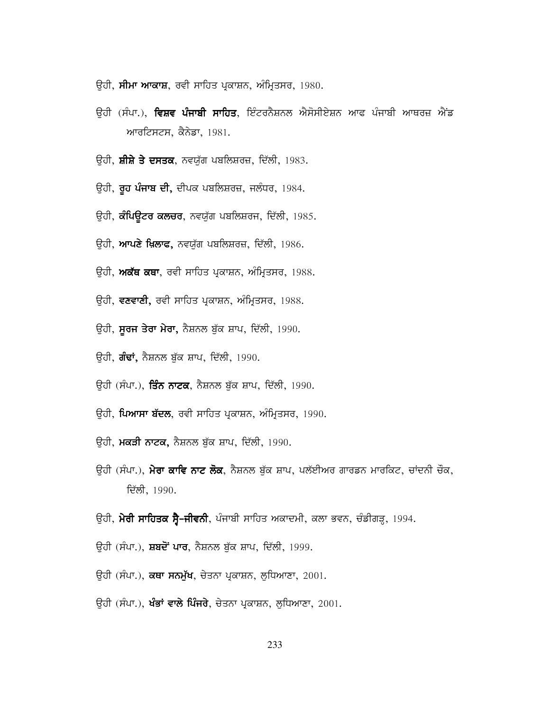- ਉਹੀ, **ਸੀਮਾ ਆਕਾਸ਼**, ਰਵੀ ਸਾਹਿਤ ਪ੍ਰਕਾਸ਼ਨ, ਅੰਮ੍ਰਿਤਸਰ, 1980.
- ਉਹੀ (ਸੰਪਾ.), **ਵਿਸ਼ਵ ਪੰਜਾਬੀ ਸਾਹਿਤ**, ਇੰਟਰਨੈਸ਼ਨਲ ਐਸੋਸੀਏਸ਼ਨ ਆਫ ਪੰਜਾਬੀ ਆਥਰਜ਼ ਐਂਡ ਆਰਟਿਸਟਸ, ਕੈਨੇਡਾ, 1981.
- ਉਹੀ, **ਸ਼ੀਸ਼ੇ ਤੇ ਦਸਤਕ**, ਨਵਯੁੱਗ ਪਬਲਿਸ਼ਰਜ਼, ਦਿੱਲੀ, 1983.
- ਉਹੀ, **ਰੂਹ ਪੰਜਾਬ ਦੀ,** ਦੀਪਕ ਪਬਲਿਸ਼ਰਜ਼, ਜਲੰਧਰ, 1984.
- ਉਹੀ, **ਕੰਪਿਊਟਰ ਕਲਚਰ**, ਨਵਯੁੱਗ ਪਬਲਿਸ਼ਰਜ, ਦਿੱਲੀ, 1985.
- ਉਹੀ, **ਆਪਣੇ ਖ਼ਿਲਾਫ,** ਨਵਯੁੱਗ ਪਬਲਿਸ਼ਰਜ਼, ਦਿੱਲੀ, 1986.
- ਉਹੀ, ਅਕੱਥ ਕਥਾ, ਰਵੀ ਸਾਹਿਤ ਪ੍ਰਕਾਸ਼ਨ, ਅੰਮ੍ਰਿਤਸਰ, 1988.
- ਉਹੀ, **ਵਣਵਾਣੀ,** ਰਵੀ ਸਾਹਿਤ ਪ੍ਰਕਾਸ਼ਨ, ਅੰਮ੍ਰਿਤਸਰ, 1988.
- ਉਹੀ, **ਸੂਰਜ ਤੇਰਾ ਮੇਰਾ,** ਨੈਸ਼ਨਲ ਬੁੱਕ ਸ਼ਾਪ, ਦਿੱਲੀ, 1990.
- ਉਹੀ, **ਗੰਢਾਂ,** ਨੈਸ਼ਨਲ ਬੁੱਕ ਸ਼ਾਪ, ਦਿੱਲੀ, 1990.
- ਓਹੀ (ਸੰਪਾ.), ਤਿੰਨ ਨਾਟਕ, ਨੈਸ਼ਨਲ ਬੱਕ ਸ਼ਾਪ, ਦਿੱਲੀ, 1990.
- ਉਹੀ, **ਪਿਆਸਾ ਬੱਦਲ**, ਰਵੀ ਸਾਹਿਤ ਪ੍ਰਕਾਸ਼ਨ, ਅੰਮ੍ਰਿਤਸਰ, 1990.
- ਉਹੀ, **ਮਕੜੀ ਨਾਟਕ,** ਨੈਸ਼ਨਲ ਬੁੱਕ ਸ਼ਾਪ, ਦਿੱਲੀ, 1990.
- ਓਹੀ (ਸੰਪਾ.), **ਮੇਰਾ ਕਾਵਿ ਨਾਟ ਲੋਕ**, ਨੈਸ਼ਨਲ ਬੱਕ ਸ਼ਾਪ, ਪਲੱਈਅਰ ਗਾਰਡਨ ਮਾਰਕਿਟ, ਚਾਂਦਨੀ ਚੌਕ, ਦਿੱਲੀ, 1990.
- ਉਹੀ, **ਮੇਰੀ ਸਾਹਿਤਕ ਸ੍ਰੈ-ਜੀਵਨੀ**, ਪੰਜਾਬੀ ਸਾਹਿਤ ਅਕਾਦਮੀ, ਕਲਾ ਭਵਨ, ਚੰਡੀਗੜ੍ਹ, 1994.
- ਉਹੀ (ਸੰਪਾ.), **ਸ਼ਬਦੋਂ ਪਾਰ**, ਨੈਸ਼ਨਲ ਬੁੱਕ ਸ਼ਾਪ, ਦਿੱਲੀ, 1999.
- ਉਹੀ (ਸੰਪਾ.), **ਕਥਾ ਸਨਮੁੱਖ**, ਚੇਤਨਾ ਪ੍ਰਕਾਸ਼ਨ, ਲੁਧਿਆਣਾ, 2001.
- ਉਹੀ (ਸੰਪਾ.), **ਖੰਭਾਂ ਵਾਲੇ ਪਿੰਜਰੇ**, ਚੇਤਨਾ ਪ੍ਰਕਾਸ਼ਨ, ਲੁਧਿਆਣਾ, 2001.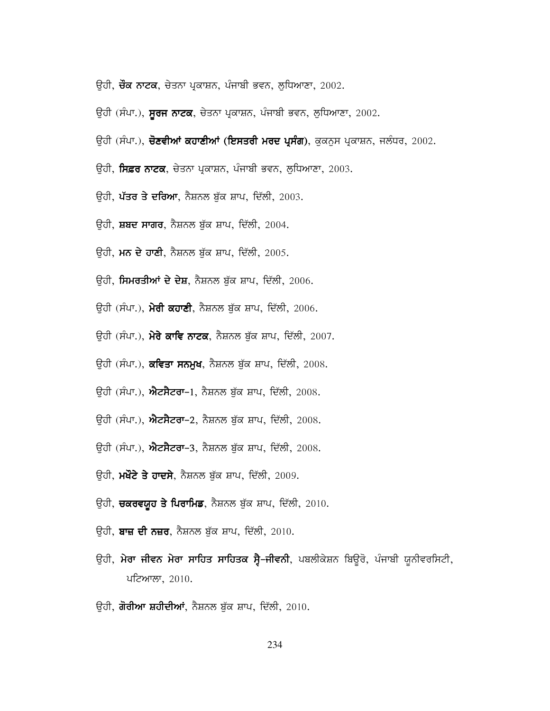- ਉਹੀ, **ਚੌਕ ਨਾਟਕ**, ਚੇਤਨਾ ਪ੍ਰਕਾਸ਼ਨ, ਪੰਜਾਬੀ ਭਵਨ, ਲੁਧਿਆਣਾ, 2002.
- ਉਹੀ (ਸੰਪਾ.), **ਸੂਰਜ ਨਾਟਕ**, ਚੇਤਨਾ ਪ੍ਰਕਾਸ਼ਨ, ਪੰਜਾਬੀ ਭਵਨ, ਲੁਧਿਆਣਾ, 2002.
- ਉਹੀ (ਸੰਪਾ.), **ਚੋਣਵੀਆਂ ਕਹਾਣੀਆਂ (ਇਸਤਰੀ ਮਰਦ ਪ੍ਰਸੰਗ)**, ਕੁਕਨੁਸ ਪ੍ਰਕਾਸ਼ਨ, ਜਲੰਧਰ, 2002.
- ਉਹੀ, **ਸਿਫ਼ਰ ਨਾਟਕ**, ਚੇਤਨਾ ਪ੍ਰਕਾਸ਼ਨ, ਪੰਜਾਬੀ ਭਵਨ, ਲੁਧਿਆਣਾ, 2003.
- ਉਹੀ, **ਪੱਤਰ ਤੇ ਦਰਿਆ**, ਨੈਸ਼ਨਲ ਬੁੱਕ ਸ਼ਾਪ, ਦਿੱਲੀ, 2003.
- ਉਹੀ, **ਸ਼ਬਦ ਸਾਗਰ**, ਨੈਸ਼ਨਲ ਬੁੱਕ ਸ਼ਾਪ, ਦਿੱਲੀ, 2004.
- ਉਹੀ, ਮਨ ਦੇ ਹਾਣੀ, ਨੈਸ਼ਨਲ ਬੁੱਕ ਸ਼ਾਪ, ਦਿੱਲੀ, 2005.
- ਉਹੀ, **ਸਿਮਰਤੀਆਂ ਦੇ ਦੇਸ਼**, ਨੈਸ਼ਨਲ ਬੁੱਕ ਸ਼ਾਪ, ਦਿੱਲੀ, 2006.
- ਉਹੀ (ਸੰਪਾ.), **ਮੇਰੀ ਕਹਾਣੀ**, ਨੈਸ਼ਨਲ ਬੁੱਕ ਸ਼ਾਪ, ਦਿੱਲੀ, 2006.
- ਉਹੀ (ਸੰਪਾ.), **ਮੇਰੇ ਕਾਵਿ ਨਾਟਕ**, ਨੈਸ਼ਨਲ ਬੁੱਕ ਸ਼ਾਪ, ਦਿੱਲੀ, 2007.
- ਉਹੀ (ਸੰਪਾ.), **ਕਵਿਤਾ ਸਨਮੁਖ**, ਨੈਸ਼ਨਲ ਬੁੱਕ ਸ਼ਾਪ, ਦਿੱਲੀ, 2008.
- ਉਹੀ (ਸੰਪਾ.), **ਐਟਸੈਟਰਾ-**1, ਨੈਸ਼ਨਲ ਬੁੱਕ ਸ਼ਾਪ, ਦਿੱਲੀ, 2008.
- ਓਹੀ (ਸੰਪਾ.), **ਐਟਸੈਟਰਾ-2**, ਨੈਸ਼ਨਲ ਬੱਕ ਸ਼ਾਪ, ਦਿੱਲੀ, 2008.
- ਉਹੀ (ਸੰਪਾ.), ਐਟਸੈਟਰਾ-3, ਨੈਸ਼ਨਲ ਬੁੱਕ ਸ਼ਾਪ, ਦਿੱਲੀ, 2008.
- ਉਹੀ, **ਮਖੌਟੇ ਤੇ ਹਾਦਸੇ**, ਨੈਸ਼ਨਲ ਬੁੱਕ ਸ਼ਾਪ, ਦਿੱਲੀ, 2009.
- ਉਹੀ, **ਚਕਰਵਯੁਹ ਤੇ ਪਿਰਾਮਿਡ**, ਨੈਸ਼ਨਲ ਬੁੱਕ ਸ਼ਾਪ, ਦਿੱਲੀ, 2010.
- ਉਹੀ, **ਬਾਜ਼ ਦੀ ਨਜ਼ਰ**, ਨੈਸ਼ਨਲ ਬੁੱਕ ਸ਼ਾਪ, ਦਿੱਲੀ, 2010.
- ਉਹੀ, ਮੇਰਾ ਜੀਵਨ ਮੇਰਾ ਸਾਹਿਤ ਸਾਹਿਤਕ ਸ੍ਰੈ–ਜੀਵਨੀ, ਪਬਲੀਕੇਸ਼ਨ ਬਿਉਰੋ, ਪੰਜਾਬੀ ਯੂਨੀਵਰਸਿਟੀ, ਪਟਿਆਲਾ, 2010.
- ਉਹੀ, **ਗੋਰੀਆ ਸ਼ਹੀਦੀਆਂ**, ਨੈਸ਼ਨਲ ਬੁੱਕ ਸ਼ਾਪ, ਦਿੱਲੀ, 2010.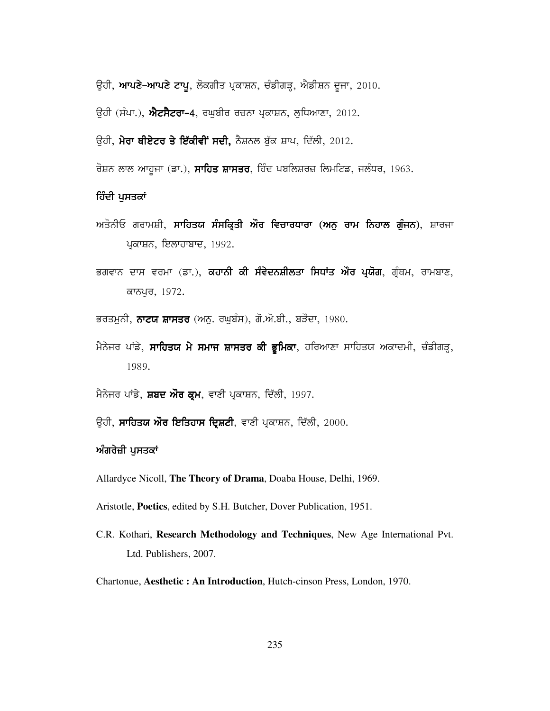ਉਹੀ, **ਆਪਣੇ-ਆਪਣੇ ਟਾਪੂ**, ਲੋਕਗੀਤ ਪ੍ਰਕਾਸ਼ਨ, ਚੰਡੀਗੜ੍ਹ, ਐਡੀਸ਼ਨ ਦੂਜਾ, 2010.

ਉਹੀ (ਸੰਪਾ.), **ਐਟਸੈਟਰਾ-4**, ਰਘੂਬੀਰ ਰਚਨਾ ਪ੍ਰਕਾਸ਼ਨ, ਲੁਧਿਆਣਾ, 2012.

ਉਹੀ, **ਮੇਰਾ ਥੀਏਟਰ ਤੇ ਇੱਕੀਵੀਂ ਸਦੀ,** ਨੈਸ਼ਨਲ ਬੁੱਕ ਸ਼ਾਪ, ਦਿੱਲੀ, 2012.

ਰੋਸ਼ਨ ਲਾਲ ਆਹੁਜਾ (ਡਾ.), **ਸਾਹਿਤ ਸ਼ਾਸਤਰ**, ਹਿੰਦ ਪਬਲਿਸ਼ਰਜ਼ ਲਿਮਟਿਡ, ਜਲੰਧਰ, 1963.

#### ਹਿੰਦੀ ਪੁਸਤਕਾਂ

- ਅਤੋਨੀਓ ਗਰਾਮਸ਼ੀ, ਸਾਹਿਤਯ ਸੰਸਕ੍ਰਿਤੀ ਔਰ ਵਿਚਾਰਧਾਰਾ (ਅਨੁ ਰਾਮ ਨਿਹਾਲ ਗੁੰਜਨ), ਸ਼ਾਰਜਾ ਪ੍ਰਕਾਸ਼ਨ, ਇਲਾਹਾਬਾਦ, 1992.
- ਭਗਵਾਨ ਦਾਸ ਵਰਮਾ (ਡਾ.), **ਕਹਾਨੀ ਕੀ ਸੰਵੇਦਨਸ਼ੀਲਤਾ ਸਿਧਾਂਤ ਔਰ ਪੁਯੋਗ**, ਗੁੰਥਮ, ਰਾਮਬਾਣ, ਕਾਨਪੁਰ, 1972.
- ਭਰਤਮੁਨੀ, ਨਾਟਯ ਸ਼ਾਸਤਰ (ਅਨੁ. ਰਘੁਬੰਸ), ਗੋ.ਔ.ਬੀ., ਬੜੌਦਾ, 1980.
- ਮੈਨੇਜਰ ਪਾਂਡੇ, **ਸਾਹਿਤਯ ਮੇ ਸਮਾਜ ਸ਼ਾਸਤਰ ਕੀ ਭੁਮਿਕਾ**, ਹਰਿਆਣਾ ਸਾਹਿਤਯ ਅਕਾਦਮੀ, ਚੰਡੀਗੜ੍ਹ, 1989.
- ਮੈਨੇਜਰ ਪਾਂਡੇ, ਸ਼ਬਦ ਔਰ ਕ੍ਰਮ, ਵਾਣੀ ਪ੍ਰਕਾਸ਼ਨ, ਦਿੱਲੀ, 1997.
- ਉਹੀ, **ਸਾਹਿਤਯ ਔਰ ਇਤਿਹਾਸ ਦ੍ਰਿਸ਼ਟੀ**, ਵਾਣੀ ਪ੍ਰਕਾਸ਼ਨ, ਦਿੱਲੀ, 2000.

#### ਅੰਗਰੇਜ਼ੀ ਪਸਤਕਾਂ

Allardyce Nicoll, The Theory of Drama, Doaba House, Delhi, 1969.

Aristotle, Poetics, edited by S.H. Butcher, Dover Publication, 1951.

C.R. Kothari, Research Methodology and Techniques, New Age International Pvt. Ltd. Publishers, 2007.

Chartonue, Aesthetic: An Introduction, Hutch-cinson Press, London, 1970.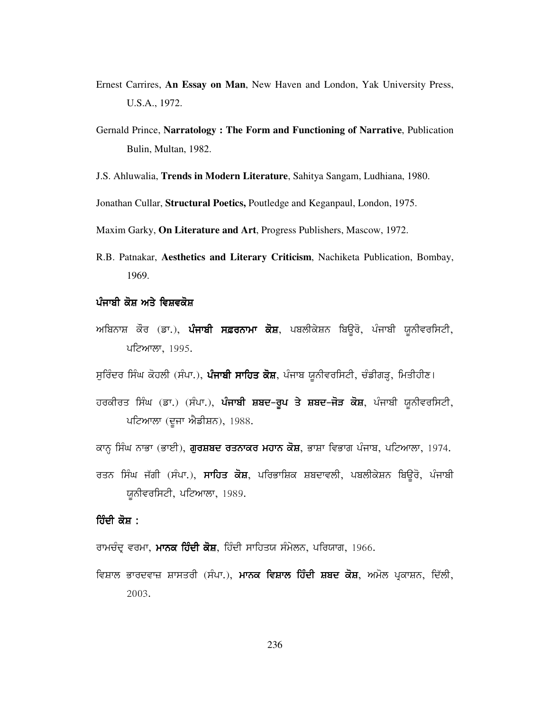- Ernest Carrires, **An Essay on Man**, New Haven and London, Yak University Press, U.S.A., 1972.
- Gernald Prince, **Narratology : The Form and Functioning of Narrative**, Publication Bulin, Multan, 1982.
- J.S. Ahluwalia, **Trends in Modern Literature**, Sahitya Sangam, Ludhiana, 1980.

Jonathan Cullar, **Structural Poetics,** Poutledge and Keganpaul, London, 1975.

Maxim Garky, **On Literature and Art**, Progress Publishers, Mascow, 1972.

- R.B. Patnakar, **Aesthetics and Literary Criticism**, Nachiketa Publication, Bombay, 1969.
- ਪੰਜਾਬੀ ਕੋਸ਼ ਅਤੇ ਵਿਸ਼ਵਕੋਸ਼
- ਅਬਿਨਾਸ਼ ਕੌਰ (ਡਾ.), **ਪੰਜਾਬੀ ਸਫ਼ਰਨਾਮਾ ਕੋਸ਼**, ਪਬਲੀਕੇਸ਼ਨ ਬਿਉਰੋ, ਪੰਜਾਬੀ ਯੂਨੀਵਰਸਿਟੀ, ਪਟਿਆਲਾ, 1995.

ਸੁਰਿੰਦਰ ਸਿੰਘ ਕੋਹਲੀ (ਸੰਪਾ.), **ਪੰਜਾਬੀ ਸਾਹਿਤ ਕੋਸ਼**, ਪੰਜਾਬ ਯੂਨੀਵਰਸਿਟੀ, ਚੰਡੀਗੜ੍ਹ, ਮਿਤੀਹੀਣ।

- ਹਰਕੀਰਤ ਸਿੰਘ (ਡਾ.) (ਸੰਪਾ.), **ਪੰਜਾਬੀ ਸ਼ਬਦ-ਰੁਪ ਤੇ ਸ਼ਬਦ-ਜੋੜ ਕੋਸ਼**, ਪੰਜਾਬੀ ਯੂਨੀਵਰਸਿਟੀ, ਪਟਿਆਲਾ (ਦੂਜਾ ਐਡੀਸ਼ਨ), 1988.
- ਕਾਨ੍ਹ ਸਿੰਘ ਨਾਭਾ (ਭਾਈ), **ਗੁਰਸ਼ਬਦ ਰਤਨਾਕਰ ਮਹਾਨ ਕੋਸ਼**, ਭਾਸ਼ਾ ਵਿਭਾਗ ਪੰਜਾਬ, ਪਟਿਆਲਾ, 1974.
- ਰਤਨ ਸਿੰਘ ਜੱਗੀ (ਸੰਪਾ.), **ਸਾਹਿਤ ਕੋਸ਼**, ਪਰਿਭਾਸ਼ਿਕ ਸ਼ਬਦਾਵਲੀ, ਪਬਲੀਕੇਸ਼ਨ ਬਿਉਰੋ, ਪੰਜਾਬੀ ਯੁਨੀਵਰਸਿਟੀ, ਪਟਿਆਲਾ, 1989.

### <u>ਹਿੰਦੀ ਕੋਸ਼ :</u>

ਰਾਮਚੰਦ੍ਰ ਵਰਮਾ, **ਮਾਨਕ ਹਿੰਦੀ ਕੋਸ਼**, ਹਿੰਦੀ ਸਾਹਿਤਯ ਸੰਮੇਲਨ, ਪਰਿਯਾਗ, 1966.

ਵਿਸ਼ਾਲ ਭਾਰਦਵਾਜ਼ ਸ਼ਾਸਤਰੀ (ਸੰਪਾ.), **ਮਾਨਕ ਵਿਸ਼ਾਲ ਹਿੰਦੀ ਸ਼ਬਦ ਕੋਸ਼**, ਅਮੋਲ ਪ੍ਰਕਾਸ਼ਨ, ਦਿੱਲੀ, 2003.